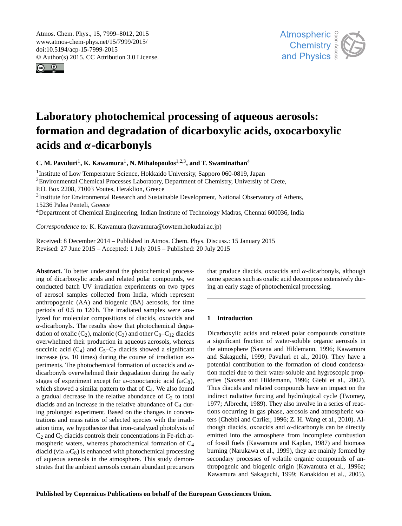<span id="page-0-1"></span>Atmos. Chem. Phys., 15, 7999–8012, 2015 www.atmos-chem-phys.net/15/7999/2015/ doi:10.5194/acp-15-7999-2015 © Author(s) 2015. CC Attribution 3.0 License.





# **Laboratory photochemical processing of aqueous aerosols: formation and degradation of dicarboxylic acids, oxocarboxylic acids and** α**-dicarbonyls**

**C. M. Pavuluri<sup>[1](#page-0-0)</sup>, K. Kawamura<sup>1</sup>, N. Mihalopoulos<sup>[1,2,3](#page-0-0)</sup>, and T. Swaminathan<sup>[4](#page-0-0)</sup>** 

<sup>1</sup>Institute of Low Temperature Science, Hokkaido University, Sapporo 060-0819, Japan <sup>2</sup>Environmental Chemical Processes Laboratory, Department of Chemistry, University of Crete, P.O. Box 2208, 71003 Voutes, Heraklion, Greece <sup>3</sup>Institute for Environmental Research and Sustainable Development, National Observatory of Athens, 15236 Palea Penteli, Greece <sup>4</sup>Department of Chemical Engineering, Indian Institute of Technology Madras, Chennai 600036, India

*Correspondence to:* K. Kawamura (kawamura@lowtem.hokudai.ac.jp)

Received: 8 December 2014 – Published in Atmos. Chem. Phys. Discuss.: 15 January 2015 Revised: 27 June 2015 – Accepted: 1 July 2015 – Published: 20 July 2015

<span id="page-0-0"></span>**Abstract.** To better understand the photochemical processing of dicarboxylic acids and related polar compounds, we conducted batch UV irradiation experiments on two types of aerosol samples collected from India, which represent anthropogenic (AA) and biogenic (BA) aerosols, for time periods of 0.5 to 120 h. The irradiated samples were analyzed for molecular compositions of diacids, oxoacids and  $\alpha$ -dicarbonyls. The results show that photochemical degradation of oxalic  $(C_2)$ , malonic  $(C_3)$  and other  $C_8-C_{12}$  diacids overwhelmed their production in aqueous aerosols, whereas succinic acid  $(C_4)$  and  $C_5-C_7$  diacids showed a significant increase (ca. 10 times) during the course of irradiation experiments. The photochemical formation of oxoacids and  $\alpha$ dicarbonyls overwhelmed their degradation during the early stages of experiment except for  $\omega$ -oxooctanoic acid ( $\omega C_8$ ), which showed a similar pattern to that of  $C_4$ . We also found a gradual decrease in the relative abundance of  $C_2$  to total diacids and an increase in the relative abundance of  $C_4$  during prolonged experiment. Based on the changes in concentrations and mass ratios of selected species with the irradiation time, we hypothesize that iron-catalyzed photolysis of  $C_2$  and  $C_3$  diacids controls their concentrations in Fe-rich atmospheric waters, whereas photochemical formation of C<sup>4</sup> diacid (via  $\omega C_8$ ) is enhanced with photochemical processing of aqueous aerosols in the atmosphere. This study demonstrates that the ambient aerosols contain abundant precursors

that produce diacids, oxoacids and  $α$ -dicarbonyls, although some species such as oxalic acid decompose extensively during an early stage of photochemical processing.

# **1 Introduction**

Dicarboxylic acids and related polar compounds constitute a significant fraction of water-soluble organic aerosols in the atmosphere (Saxena and Hildemann, 1996; Kawamura and Sakaguchi, 1999; Pavuluri et al., 2010). They have a potential contribution to the formation of cloud condensation nuclei due to their water-soluble and hygroscopic properties (Saxena and Hildemann, 1996; Giebl et al., 2002). Thus diacids and related compounds have an impact on the indirect radiative forcing and hydrological cycle (Twomey, 1977; Albrecht, 1989). They also involve in a series of reactions occurring in gas phase, aerosols and atmospheric waters (Chebbi and Carlier, 1996; Z. H. Wang et al., 2010). Although diacids, oxoacids and  $α$ -dicarbonyls can be directly emitted into the atmosphere from incomplete combustion of fossil fuels (Kawamura and Kaplan, 1987) and biomass burning (Narukawa et al., 1999), they are mainly formed by secondary processes of volatile organic compounds of anthropogenic and biogenic origin (Kawamura et al., 1996a; Kawamura and Sakaguchi, 1999; Kanakidou et al., 2005).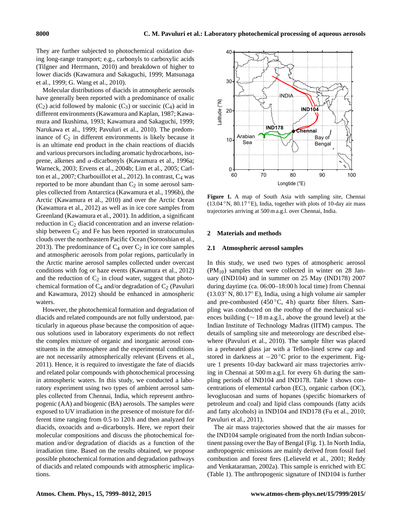They are further subjected to photochemical oxidation during long-range transport; e.g., carbonyls to carboxylic acids (Tilgner and Herrmann, 2010) and breakdown of higher to lower diacids (Kawamura and Sakaguchi, 1999; Matsunaga et al., 1999; G. Wang et al., 2010).

Molecular distributions of diacids in atmospheric aerosols have generally been reported with a predominance of oxalic  $(C_2)$  acid followed by malonic  $(C_3)$  or succinic  $(C_4)$  acid in different environments (Kawamura and Kaplan, 1987; Kawamura and Ikushima, 1993; Kawamura and Sakaguchi, 1999; Narukawa et al., 1999; Pavuluri et al., 2010). The predominance of  $C_2$  in different environments is likely because it is an ultimate end product in the chain reactions of diacids and various precursors including aromatic hydrocarbons, isoprene, alkenes and α-dicarbonyls (Kawamura et al., 1996a; Warneck, 2003; Ervens et al., 2004b; Lim et al., 2005; Carlton et al., 2007; Charbouillot et al., 2012). In contrast, C<sub>4</sub> was reported to be more abundant than  $C_2$  in some aerosol samples collected from Antarctica (Kawamura et al., 1996b), the Arctic (Kawamura et al., 2010) and over the Arctic Ocean (Kawamura et al., 2012) as well as in ice core samples from Greenland (Kawamura et al., 2001). In addition, a significant reduction in  $C_2$  diacid concentration and an inverse relationship between  $C_2$  and Fe has been reported in stratocumulus clouds over the northeastern Pacific Ocean (Sorooshian et al., 2013). The predominance of  $C_4$  over  $C_2$  in ice core samples and atmospheric aerosols from polar regions, particularly in the Arctic marine aerosol samples collected under overcast conditions with fog or haze events (Kawamura et al., 2012) and the reduction of  $C_2$  in cloud water, suggest that photochemical formation of  $C_4$  and/or degradation of  $C_2$  (Pavuluri and Kawamura, 2012) should be enhanced in atmospheric waters.

However, the photochemical formation and degradation of diacids and related compounds are not fully understood, particularly in aqueous phase because the composition of aqueous solutions used in laboratory experiments do not reflect the complex mixture of organic and inorganic aerosol constituents in the atmosphere and the experimental conditions are not necessarily atmospherically relevant (Ervens et al., 2011). Hence, it is required to investigate the fate of diacids and related polar compounds with photochemical processing in atmospheric waters. In this study, we conducted a laboratory experiment using two types of ambient aerosol samples collected from Chennai, India, which represent anthropogenic (AA) and biogenic (BA) aerosols. The samples were exposed to UV irradiation in the presence of moisture for different time ranging from 0.5 to 120 h and then analyzed for diacids, oxoacids and  $\alpha$ -dicarbonyls. Here, we report their molecular compositions and discuss the photochemical formation and/or degradation of diacids as a function of the irradiation time. Based on the results obtained, we propose possible photochemical formation and degradation pathways of diacids and related compounds with atmospheric implications.



**Figure 1.** A map of South Asia with sampling site, Chennai (13.04 ◦N, 80.17 ◦E), India, together with plots of 10-day air mass trajectories arriving at 500 m a.g.l. over Chennai, India.

## **2 Materials and methods**

#### **2.1 Atmospheric aerosol samples**

In this study, we used two types of atmospheric aerosol  $(PM_{10})$  samples that were collected in winter on 28 January (IND104) and in summer on 25 May (IND178) 2007 during daytime (ca. 06:00–18:00 h local time) from Chennai (13.03◦ N, 80.17◦ E), India, using a high volume air sampler and pre-combusted  $(450 °C, 4 h)$  quartz fiber filters. Sampling was conducted on the rooftop of the mechanical sciences building (∼ 18 m a.g.l., above the ground level) at the Indian Institute of Technology Madras (IITM) campus. The details of sampling site and meteorology are described elsewhere (Pavuluri et al., 2010). The sample filter was placed in a preheated glass jar with a Teflon-lined screw cap and stored in darkness at  $-20\degree C$  prior to the experiment. Figure 1 presents 10-day backward air mass trajectories arriving in Chennai at 500 m a.g.l. for every 6 h during the sampling periods of IND104 and IND178. Table 1 shows concentrations of elemental carbon (EC), organic carbon (OC), levoglucosan and sums of hopanes (specific biomarkers of petroleum and coal) and lipid class compounds (fatty acids and fatty alcohols) in IND104 and IND178 (Fu et al., 2010; Pavuluri et al., 2011).

The air mass trajectories showed that the air masses for the IND104 sample originated from the north Indian subcontinent passing over the Bay of Bengal (Fig. 1). In North India, anthropogenic emissions are mainly derived from fossil fuel combustion and forest fires (Lelieveld et al., 2001; Reddy and Venkataraman, 2002a). This sample is enriched with EC (Table 1). The anthropogenic signature of IND104 is further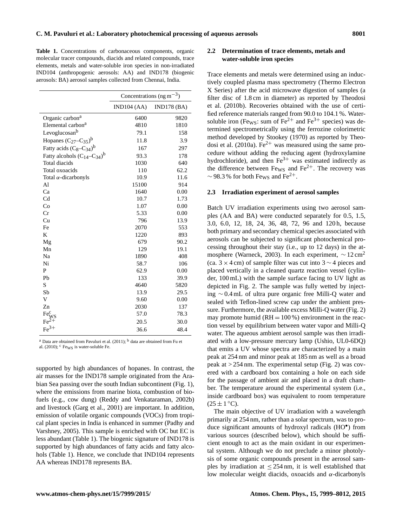**Table 1.** Concentrations of carbonaceous components, organic molecular tracer compounds, diacids and related compounds, trace elements, metals and water-soluble iron species in non-irradiated IND104 (anthropogenic aerosols: AA) and IND178 (biogenic aerosols: BA) aerosol samples collected from Chennai, India.

|                                    | Concentrations (ng m <sup><math>-3</math></sup> ) |            |
|------------------------------------|---------------------------------------------------|------------|
|                                    | IND104 (AA)                                       | IND178(BA) |
| Organic carbon <sup>a</sup>        | 6400                                              | 9820       |
| Elemental carbon <sup>a</sup>      | 4810                                              | 1810       |
| Levoglucosan <sup>b</sup>          | 79.1                                              | 158        |
| Hopanes $(C_{27}-C_{35})^b$        | 11.8                                              | 3.9        |
| Fatty acids $(C_8-C_{34})^b$       | 167                                               | 297        |
| Fatty alcohols $(C_{14}-C_{34})^b$ | 93.3                                              | 178        |
| Total diacids                      | 1030                                              | 640        |
| Total oxoacids                     | 110                                               | 62.2       |
| Total $\alpha$ -dicarbonyls        | 10.9                                              | 11.6       |
| Al                                 | 15100                                             | 914        |
| Ca                                 | 1640                                              | 0.00       |
| Cd                                 | 10.7                                              | 1.73       |
| Co                                 | 1.07                                              | 0.00       |
| Cr                                 | 5.33                                              | 0.00       |
| Cu                                 | 796                                               | 13.9       |
| Fe                                 | 2070                                              | 553        |
| K                                  | 1220                                              | 893        |
| Mg                                 | 679                                               | 90.2       |
| Mn                                 | 129                                               | 19.1       |
| Na                                 | 1890                                              | 408        |
| Ni                                 | 58.7                                              | 106        |
| P                                  | 62.9                                              | 0.00       |
| Pb                                 | 133                                               | 39.9       |
| S                                  | 4640                                              | 5820       |
| Sb                                 | 13.9                                              | 29.5       |
| V                                  | 9.60                                              | 0.00       |
| Zn                                 | 2030                                              | 137        |
| Fe <sup>c</sup>                    | 57.0                                              | 78.3       |
|                                    | 20.5                                              | 30.0       |
| $Fe3+$                             | 36.6                                              | 48.4       |

<sup>a</sup> Data are obtained from Pavuluri et al. (2011);  $<sup>b</sup>$  data are obtained from Fu et</sup> al. (2010);  $\text{c}$  Fe<sub>WS</sub> is water-soluble Fe.

supported by high abundances of hopanes. In contrast, the air masses for the IND178 sample originated from the Arabian Sea passing over the south Indian subcontinent (Fig. 1), where the emissions from marine biota, combustion of biofuels (e.g., cow dung) (Reddy and Venkataraman, 2002b) and livestock (Garg et al., 2001) are important. In addition, emission of volatile organic compounds (VOCs) from tropical plant species in India is enhanced in summer (Padhy and Varshney, 2005). This sample is enriched with OC but EC is less abundant (Table 1). The biogenic signature of IND178 is supported by high abundances of fatty acids and fatty alcohols (Table 1). Hence, we conclude that IND104 represents AA whereas IND178 represents BA.

# **2.2 Determination of trace elements, metals and water-soluble iron species**

Trace elements and metals were determined using an inductively coupled plasma mass spectrometry (Thermo Electron X Series) after the acid microwave digestion of samples (a filter disc of 1.8 cm in diameter) as reported by Theodosi et al. (2010b). Recoveries obtained with the use of certified reference materials ranged from 90.0 to 104.1 %. Watersoluble iron (Fews: sum of Fe<sup>2+</sup> and Fe<sup>3+</sup> species) was determined spectrometrically using the ferrozine colorimetric method developed by Stookey (1970) as reported by Theodosi et al. (2010a). Fe<sup>2+</sup> was measured using the same procedure without adding the reducing agent (hydroxylamine hydrochloride), and then  $Fe^{3+}$  was estimated indirectly as the difference between  $F_{\text{ews}}$  and  $Fe^{2+}$ . The recovery was  $\sim$  98.3 % for both Fe<sub>WS</sub> and Fe<sup>2+</sup>.

#### **2.3 Irradiation experiment of aerosol samples**

Batch UV irradiation experiments using two aerosol samples (AA and BA) were conducted separately for 0.5, 1.5, 3.0, 6.0, 12, 18, 24, 36, 48, 72, 96 and 120 h, because both primary and secondary chemical species associated with aerosols can be subjected to significant photochemical processing throughout their stay (i.e., up to 12 days) in the atmosphere (Warneck, 2003). In each experiment,  $\sim 12 \text{ cm}^2$ (ca. 3  $\times$  4 cm) of sample filter was cut into 3  $\sim$  4 pieces and placed vertically in a cleaned quartz reaction vessel (cylinder, 100 mL) with the sample surface facing to UV light as depicted in Fig. 2. The sample was fully wetted by injecting ∼ 0.4 mL of ultra pure organic free Milli-Q water and sealed with Teflon-lined screw cap under the ambient pressure. Furthermore, the available excess Milli-Q water (Fig. 2) may promote humid ( $RH = 100\%$ ) environment in the reaction vessel by equilibrium between water vapor and Milli-Q water. The aqueous ambient aerosol sample was then irradiated with a low-pressure mercury lamp (Ushio, UL0-6DQ) that emits a UV whose spectra are characterized by a main peak at 254 nm and minor peak at 185 nm as well as a broad peak at  $>$  254 nm. The experimental setup (Fig. 2) was covered with a cardboard box containing a hole on each side for the passage of ambient air and placed in a draft chamber. The temperature around the experimental system (i.e., inside cardboard box) was equivalent to room temperature  $(25 \pm 1 \degree C).$ 

The main objective of UV irradiation with a wavelength primarily at 254 nm, rather than a solar spectrum, was to produce significant amounts of hydroxyl radicals (HO• ) from various sources (described below), which should be sufficient enough to act as the main oxidant in our experimental system. Although we do not preclude a minor photolysis of some organic compounds present in the aerosol samples by irradiation at  $\leq 254$  nm, it is well established that low molecular weight diacids, oxoacids and α-dicarbonyls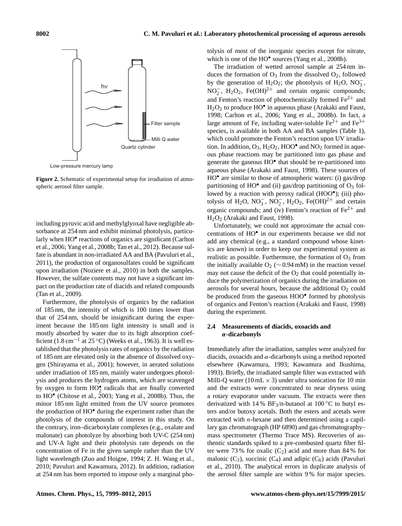

**Figure 2.** Schematic of experimental setup for irradiation of atmospheric aerosol filter sample.

including pyruvic acid and methylglyoxal have negligible absorbance at 254 nm and exhibit minimal photolysis, particularly when HO<sup>•</sup> reactions of organics are significant (Carlton et al., 2006; Yang et al., 2008b; Tan et al., 2012). Because sulfate is abundant in non-irradiated AA and BA (Pavuluri et al., 2011), the production of organosulfates could be significant upon irradiation (Noziere et al., 2010) in both the samples. However, the sulfate contents may not have a significant impact on the production rate of diacids and related compounds (Tan et al., 2009).

Furthermore, the photolysis of organics by the radiation of 185 nm, the intensity of which is 100 times lower than that of 254 nm, should be insignificant during the experiment because the 185 nm light intensity is small and is mostly absorbed by water due to its high absorption coefficient (1.8 cm−<sup>1</sup> at 25 ◦C) (Weeks et al., 1963). It is well established that the photolysis rates of organics by the radiation of 185 nm are elevated only in the absence of dissolved oxygen (Shirayama et al., 2001); however, in aerated solutions under irradiation of 185 nm, mainly water undergoes photolysis and produces the hydrogen atoms, which are scavenged by oxygen to form  $HO_2^{\bullet}$  radicals that are finally converted to  $HO^{\bullet}$  (Chitose et al., 2003; Yang et al., 2008b). Thus, the minor 185 nm light emitted from the UV source promotes the production of HO• during the experiment rather than the photolysis of the compounds of interest in this study. On the contrary, iron–dicarboxylate complexes (e.g., oxalate and malonate) can photolyze by absorbing both UV-C (254 nm) and UV-A light and their photolysis rate depends on the concentration of Fe in the given sample rather than the UV light wavelength (Zuo and Hoigne, 1994; Z. H. Wang et al., 2010; Pavuluri and Kawamura, 2012). In addition, radiation at 254 nm has been reported to impose only a marginal photolysis of most of the inorganic species except for nitrate, which is one of the HO<sup>•</sup> sources (Yang et al., 2008b).

The irradiation of wetted aerosol sample at 254 nm induces the formation of  $O_3$  from the dissolved  $O_2$ , followed by the generation of H<sub>2</sub>O<sub>2</sub>; the photolysis of H<sub>2</sub>O, NO<sub>3</sub><sup>-</sup>, NO<sub>2</sub>, H<sub>2</sub>O<sub>2</sub>, Fe(OH)<sup>2+</sup> and certain organic compounds; and Fenton's reaction of photochemically formed  $Fe<sup>2+</sup>$  and H<sub>2</sub>O<sub>2</sub> to produce HO<sup>•</sup> in aqueous phase (Arakaki and Faust, 1998; Carlton et al., 2006; Yang et al., 2008b). In fact, a large amount of Fe, including water-soluble  $Fe^{2+}$  and  $Fe^{3+}$ species, is available in both AA and BA samples (Table 1), which could promote the Fenton's reaction upon UV irradiation. In addition,  $O_3$ ,  $H_2O_2$ ,  $HOO<sup>•</sup>$  and  $NO_2$  formed in aqueous phase reactions may be partitioned into gas phase and generate the gaseous HO• that should be re-partitioned into aqueous phase (Arakaki and Faust, 1998). These sources of HO<sup>•</sup> are similar to those of atmospheric waters: (i) gas/drop partitioning of HO $^{\bullet}$  and (ii) gas/drop partitioning of O<sub>3</sub> followed by a reaction with peroxy radical (HOO<sup>•</sup>); (iii) photolysis of H<sub>2</sub>O, NO<sub>3</sub>, NO<sub>2</sub>, H<sub>2</sub>O<sub>2</sub>, Fe(OH)<sup>2+</sup> and certain organic compounds; and (iv) Fenton's reaction of  $Fe^{2+}$  and H<sub>2</sub>O<sub>2</sub> (Arakaki and Faust, 1998).

Unfortunately, we could not approximate the actual concentrations of HO• in our experiments because we did not add any chemical (e.g., a standard compound whose kinetics are known) in order to keep our experimental system as realistic as possible. Furthermore, the formation of  $O_3$  from the initially available O<sub>2</sub> ( $\sim$  0.94 mM) in the reaction vessel may not cause the deficit of the  $O_2$  that could potentially induce the polymerization of organics during the irradiation on aerosols for several hours, because the additional  $O<sub>2</sub>$  could be produced from the gaseous HOO<sup>•</sup> formed by photolysis of organics and Fenton's reaction (Arakaki and Faust, 1998) during the experiment.

# **2.4 Measurements of diacids, oxoacids and** α**-dicarbonyls**

Immediately after the irradiation, samples were analyzed for diacids, oxoacids and  $\alpha$ -dicarbonyls using a method reported elsewhere (Kawamura, 1993; Kawamura and Ikushima, 1993). Briefly, the irradiated sample filter was extracted with Milli-Q water (10 mL  $\times$  3) under ultra sonication for 10 min and the extracts were concentrated to near dryness using a rotary evaporator under vacuum. The extracts were then derivatized with 14 %  $BF_3/n$ -butanol at 100 °C to butyl esters and/or butoxy acetals. Both the esters and acetals were extracted with  $n$ -hexane and then determined using a capillary gas chromatograph (HP 6890) and gas chromatography– mass spectrometer (Thermo Trace MS). Recoveries of authentic standards spiked to a pre-combusted quartz fiber filter were 73 % for oxalic  $(C_2)$  acid and more than 84 % for malonic  $(C_3)$ , succinic  $(C_4)$  and adipic  $(C_6)$  acids (Pavuluri et al., 2010). The analytical errors in duplicate analysis of the aerosol filter sample are within 9 % for major species.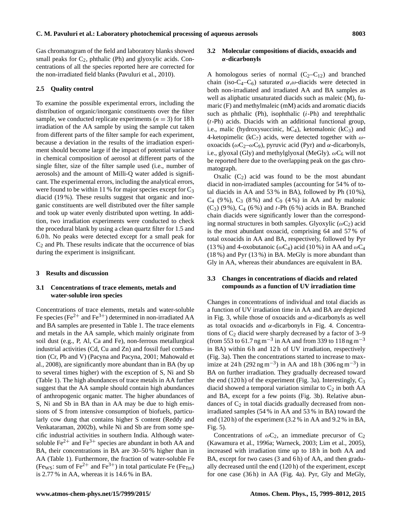Gas chromatogram of the field and laboratory blanks showed small peaks for  $C_2$ , phthalic (Ph) and glyoxylic acids. Concentrations of all the species reported here are corrected for the non-irradiated field blanks (Pavuluri et al., 2010).

#### **2.5 Quality control**

To examine the possible experimental errors, including the distribution of organic/inorganic constituents over the filter sample, we conducted replicate experiments  $(n = 3)$  for 18 h irradiation of the AA sample by using the sample cut taken from different parts of the filter sample for each experiment, because a deviation in the results of the irradiation experiment should become large if the impact of potential variance in chemical composition of aerosol at different parts of the single filter, size of the filter sample used (i.e., number of aerosols) and the amount of Milli-Q water added is significant. The experimental errors, including the analytical errors, were found to be within 11 % for major species except for  $C_3$ diacid (19 %). These results suggest that organic and inorganic constituents are well distributed over the filter sample and took up water evenly distributed upon wetting. In addition, two irradiation experiments were conducted to check the procedural blank by using a clean quartz filter for 1.5 and 6.0 h. No peaks were detected except for a small peak for  $C_2$  and Ph. These results indicate that the occurrence of bias during the experiment is insignificant.

#### **3 Results and discussion**

# **3.1 Concentrations of trace elements, metals and water-soluble iron species**

Concentrations of trace elements, metals and water-soluble Fe species (Fe<sup>2+</sup> and Fe<sup>3+</sup>) determined in non-irradiated AA and BA samples are presented in Table 1. The trace elements and metals in the AA sample, which mainly originate from soil dust (e.g., P, Al, Ca and Fe), non-ferrous metallurgical industrial activities (Cd, Cu and Zn) and fossil fuel combustion (Cr, Pb and V) (Pacyna and Pacyna, 2001; Mahowald et al., 2008), are significantly more abundant than in BA (by up to several times higher) with the exception of S, Ni and Sb (Table 1). The high abundances of trace metals in AA further suggest that the AA sample should contain high abundances of anthropogenic organic matter. The higher abundances of S, Ni and Sb in BA than in AA may be due to high emissions of S from intensive consumption of biofuels, particularly cow dung that contains higher S content (Reddy and Venkataraman, 2002b), while Ni and Sb are from some specific industrial activities in southern India. Although watersoluble  $Fe^{2+}$  and  $Fe^{3+}$  species are abundant in both AA and BA, their concentrations in BA are 30–50 % higher than in AA (Table 1). Furthermore, the fraction of water-soluble Fe (Fe<sub>WS</sub>: sum of Fe<sup>2+</sup> and Fe<sup>3+</sup>) in total particulate Fe (Fe<sub>Tot</sub>) is 2.77 % in AA, whereas it is 14.6 % in BA.

## **3.2 Molecular compositions of diacids, oxoacids and** α**-dicarbonyls**

A homologous series of normal  $(C_2-C_{12})$  and branched chain (iso-C<sub>4</sub>–C<sub>6</sub>) saturated  $\alpha, \omega$ -diacids were detected in both non-irradiated and irradiated AA and BA samples as well as aliphatic unsaturated diacids such as maleic (M), fumaric (F) and methylmaleic (mM) acids and aromatic diacids such as phthalic (Ph), isophthalic  $(i-Ph)$  and terephthalic  $(t-Ph)$  acids. Diacids with an additional functional group, i.e., malic (hydroxysuccinic,  $hC_4$ ), ketomalonic ( $kC_3$ ) and 4-ketopimelic (kC<sub>7</sub>) acids, were detected together with  $\omega$ oxoacids ( $ωC_2-ωC_9$ ), pyruvic acid (Pyr) and α-dicarbonyls, i.e., glyoxal (Gly) and methylglyoxal (MeGly).  $\omega C_6$  will not be reported here due to the overlapping peak on the gas chromatograph.

Oxalic  $(C_2)$  acid was found to be the most abundant diacid in non-irradiated samples (accounting for 54 % of total diacids in AA and  $53\%$  in BA), followed by Ph  $(10\%)$ ,  $C_4$  (9%),  $C_3$  (8%) and  $C_9$  (4%) in AA and by malonic  $(C_3)$  (9%),  $C_4$  (6%) and t-Ph (6%) acids in BA. Branched chain diacids were significantly lower than the corresponding normal structures in both samples. Glyoxylic ( $\omega C_2$ ) acid is the most abundant oxoacid, comprising 64 and 57 % of total oxoacids in AA and BA, respectively, followed by Pyr (13 %) and 4-oxobutanoic ( $\omega C_4$ ) acid (10 %) in AA and  $\omega C_4$ (18 %) and Pyr (13 %) in BA. MeGly is more abundant than Gly in AA, whereas their abundances are equivalent in BA.

# **3.3 Changes in concentrations of diacids and related compounds as a function of UV irradiation time**

Changes in concentrations of individual and total diacids as a function of UV irradiation time in AA and BA are depicted in Fig. 3, while those of oxoacids and  $\alpha$ -dicarbonyls as well as total oxoacids and  $\alpha$ -dicarbonyls in Fig. 4. Concentrations of  $C_2$  diacid were sharply decreased by a factor of 3–9 (from 553 to 61.7 ng m<sup>-3</sup> in AA and from 339 to 118 ng m<sup>-3</sup> in BA) within 6h and 12h of UV irradiation, respectively (Fig. 3a). Then the concentrations started to increase to maximize at 24 h (292 ng m<sup>-3</sup>) in AA and 18 h (306 ng m<sup>-3</sup>) in BA on further irradiation. They gradually decreased toward the end (120 h) of the experiment (Fig. 3a). Interestingly,  $C_3$ diacid showed a temporal variation similar to  $C_2$  in both AA and BA, except for a few points (Fig. 3b). Relative abundances of  $C_2$  in total diacids gradually decreased from nonirradiated samples (54 % in AA and 53 % in BA) toward the end (120 h) of the experiment (3.2 % in AA and 9.2 % in BA, Fig. 5).

Concentrations of  $\omega C_2$ , an immediate precursor of  $C_2$ (Kawamura et al., 1996a; Warneck, 2003; Lim et al., 2005), increased with irradiation time up to 18 h in both AA and BA, except for two cases (3 and 6 h) of AA, and then gradually decreased until the end (120 h) of the experiment, except for one case (36 h) in AA (Fig. 4a). Pyr, Gly and MeGly,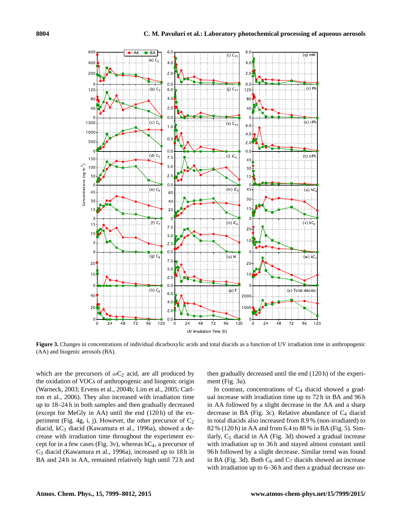

**Figure 3.** Changes in concentrations of individual dicarboxylic acids and total diacids as a function of UV irradiation time in anthropogenic (AA) and biogenic aerosols (BA).

which are the precursors of  $\omega C_2$  acid, are all produced by the oxidation of VOCs of anthropogenic and biogenic origin (Warneck, 2003; Ervens et al., 2004b; Lim et al., 2005; Carlton et al., 2006). They also increased with irradiation time up to 18–24 h in both samples and then gradually decreased (except for MeGly in AA) until the end (120 h) of the experiment (Fig. 4g, i, j). However, the other precursor of  $C_2$ diacid, kC<sup>3</sup> diacid (Kawamura et al., 1996a), showed a decrease with irradiation time throughout the experiment except for in a few cases (Fig. 3v), whereas  $hC_4$ , a precursor of C<sup>3</sup> diacid (Kawamura et al., 1996a), increased up to 18 h in BA and 24 h in AA, remained relatively high until 72 h and then gradually decreased until the end (120 h) of the experiment (Fig. 3u).

In contrast, concentrations of  $C_4$  diacid showed a gradual increase with irradiation time up to 72 h in BA and 96 h in AA followed by a slight decrease in the AA and a sharp decrease in BA (Fig. 3c). Relative abundance of  $C_4$  diacid in total diacids also increased from 8.9 % (non-irradiated) to 82 % (120 h) in AA and from 6.4 to 88 % in BA (Fig. 5). Similarly,  $C_5$  diacid in AA (Fig. 3d) showed a gradual increase with irradiation up to 36 h and stayed almost constant until 96 h followed by a slight decrease. Similar trend was found in BA (Fig. 3d). Both  $C_6$  and  $C_7$  diacids showed an increase with irradiation up to 6–36 h and then a gradual decrease un-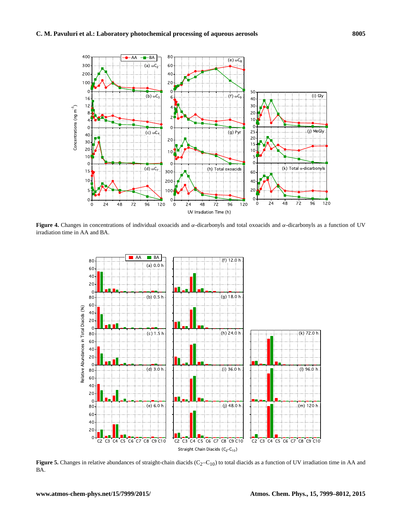

**Figure 4.** Changes in concentrations of individual oxoacids and α-dicarbonyls and total oxoacids and α-dicarbonyls as a function of UV irradiation time in AA and BA.



**Figure 5.** Changes in relative abundances of straight-chain diacids  $(C_2-C_{10})$  to total diacids as a function of UV irradiation time in AA and BA.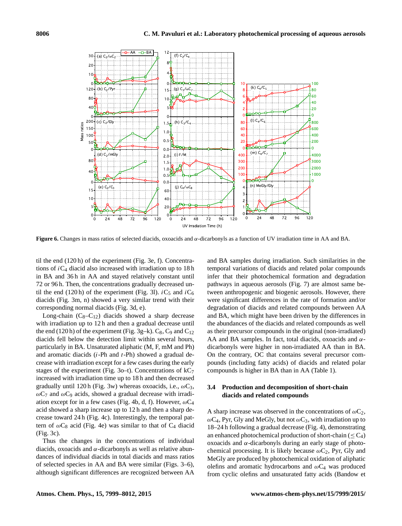

**Figure 6.** Changes in mass ratios of selected diacids, oxoacids and  $\alpha$ -dicarbonyls as a function of UV irradiation time in AA and BA.

til the end (120 h) of the experiment (Fig. 3e, f). Concentrations of  $iC_4$  diacid also increased with irradiation up to 18 h in BA and 36 h in AA and stayed relatively constant until 72 or 96 h. Then, the concentrations gradually decreased until the end (120 h) of the experiment (Fig. 31).  $iC_5$  and  $iC_6$ diacids (Fig. 3m, n) showed a very similar trend with their corresponding normal diacids (Fig. 3d, e).

Long-chain  $(C_8-C_{12})$  diacids showed a sharp decrease with irradiation up to 12 h and then a gradual decrease until the end (120 h) of the experiment (Fig. 3g–k).  $C_8$ ,  $C_9$  and  $C_{12}$ diacids fell below the detection limit within several hours, particularly in BA. Unsaturated aliphatic (M, F, mM and Ph) and aromatic diacids  $(i-Ph$  and  $t-Ph$ ) showed a gradual decrease with irradiation except for a few cases during the early stages of the experiment (Fig. 3o–t). Concentrations of  $kC_7$ increased with irradiation time up to 18 h and then decreased gradually until 120 h (Fig. 3w) whereas oxoacids, i.e.,  $\omega C_3$ ,  $\omega$ C<sub>7</sub> and  $\omega$ C<sub>9</sub> acids, showed a gradual decrease with irradiation except for in a few cases (Fig. 4b, d, f). However,  $\omega C_4$ acid showed a sharp increase up to 12 h and then a sharp decrease toward 24 h (Fig. 4c). Interestingly, the temporal pattern of  $\omega C_8$  acid (Fig. 4e) was similar to that of  $C_4$  diacid (Fig. 3c).

Thus the changes in the concentrations of individual diacids, oxoacids and  $\alpha$ -dicarbonyls as well as relative abundances of individual diacids in total diacids and mass ratios of selected species in AA and BA were similar (Figs. 3–6), although significant differences are recognized between AA

and BA samples during irradiation. Such similarities in the temporal variations of diacids and related polar compounds infer that their photochemical formation and degradation pathways in aqueous aerosols (Fig. 7) are almost same between anthropogenic and biogenic aerosols. However, there were significant differences in the rate of formation and/or degradation of diacids and related compounds between AA and BA, which might have been driven by the differences in the abundances of the diacids and related compounds as well as their precursor compounds in the original (non-irradiated) AA and BA samples. In fact, total diacids, oxoacids and  $\alpha$ dicarbonyls were higher in non-irradiated AA than in BA. On the contrary, OC that contains several precursor compounds (including fatty acids) of diacids and related polar compounds is higher in BA than in AA (Table 1).

# **3.4 Production and decomposition of short-chain diacids and related compounds**

A sharp increase was observed in the concentrations of  $\omega C_2$ ,  $\omega$ C<sub>4</sub>, Pyr, Gly and MeGly, but not  $\omega$ C<sub>3</sub>, with irradiation up to 18–24 h following a gradual decrease (Fig. 4), demonstrating an enhanced photochemical production of short-chain ( $\leq C_4$ ) oxoacids and α-dicarbonyls during an early stage of photochemical processing. It is likely because  $\omega C_2$ , Pyr, Gly and MeGly are produced by photochemical oxidation of aliphatic olefins and aromatic hydrocarbons and  $\omega C_4$  was produced from cyclic olefins and unsaturated fatty acids (Bandow et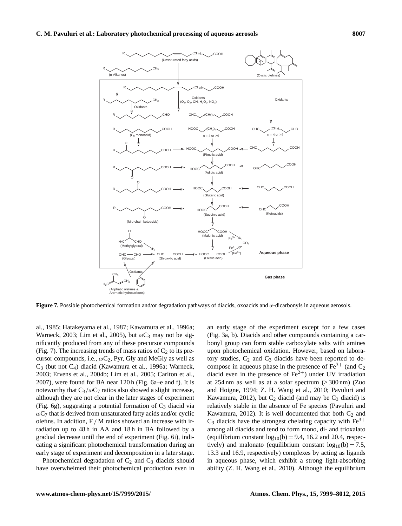

**Figure 7.** Possible photochemical formation and/or degradation pathways of diacids, oxoacids and α-dicarbonyls in aqueous aerosols.

al., 1985; Hatakeyama et al., 1987; Kawamura et al., 1996a; Warneck, 2003; Lim et al., 2005), but  $\omega C_3$  may not be significantly produced from any of these precursor compounds (Fig. 7). The increasing trends of mass ratios of  $C_2$  to its precursor compounds, i.e.,  $\omega C_2$ , Pyr, Gly and MeGly as well as C<sup>3</sup> (but not C4) diacid (Kawamura et al., 1996a; Warneck, 2003; Ervens et al., 2004b; Lim et al., 2005; Carlton et al., 2007), were found for BA near 120 h (Fig. 6a–e and f). It is noteworthy that  $C_3/\omega C_7$  ratios also showed a slight increase, although they are not clear in the later stages of experiment (Fig. 6g), suggesting a potential formation of  $C_3$  diacid via  $\omega$ C<sub>7</sub> that is derived from unsaturated fatty acids and/or cyclic olefins. In addition,  $F/M$  ratios showed an increase with irradiation up to 48h in AA and 18h in BA followed by a gradual decrease until the end of experiment (Fig. 6i), indicating a significant photochemical transformation during an early stage of experiment and decomposition in a later stage.

Photochemical degradation of  $C_2$  and  $C_3$  diacids should have overwhelmed their photochemical production even in an early stage of the experiment except for a few cases (Fig. 3a, b). Diacids and other compounds containing a carbonyl group can form stable carboxylate salts with amines upon photochemical oxidation. However, based on laboratory studies,  $C_2$  and  $C_3$  diacids have been reported to decompose in aqueous phase in the presence of  $Fe^{3+}$  (and  $C_2$ ) diacid even in the presence of  $\text{Fe}^{2+}$ ) under UV irradiation at  $254 \text{ nm}$  as well as at a solar spectrum  $(> 300 \text{ nm})$  (Zuo and Hoigne, 1994; Z. H. Wang et al., 2010; Pavuluri and Kawamura, 2012), but  $C_2$  diacid (and may be  $C_3$  diacid) is relatively stable in the absence of Fe species (Pavuluri and Kawamura, 2012). It is well documented that both  $C_2$  and  $C_3$  diacids have the strongest chelating capacity with  $Fe^{3+}$ among all diacids and tend to form mono, di- and trioxalato (equilibrium constant  $log_{10}(b) = 9.4$ , 16.2 and 20.4, respectively) and malonato (equilibrium constant  $log_{10}(b) = 7.5$ , 13.3 and 16.9, respectively) complexes by acting as ligands in aqueous phase, which exhibit a strong light-absorbing ability (Z. H. Wang et al., 2010). Although the equilibrium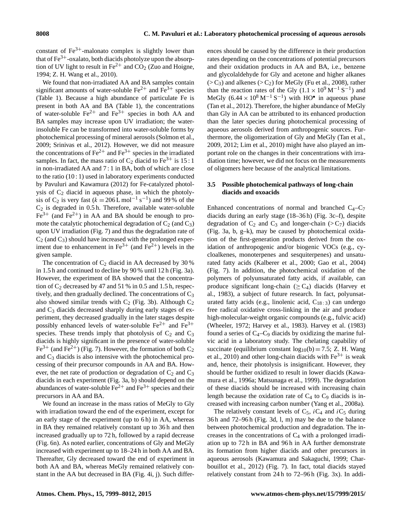constant of  $Fe<sup>3+</sup>$ -malonato complex is slightly lower than that of  $\text{Fe}^{3+}$ -oxalato, both diacids photolyze upon the absorption of UV light to result in  $Fe^{2+}$  and CO<sub>2</sub> (Zuo and Hoigne, 1994; Z. H. Wang et al., 2010).

We found that non-irradiated AA and BA samples contain significant amounts of water-soluble  $Fe^{2+}$  and  $Fe^{3+}$  species (Table 1). Because a high abundance of particulate Fe is present in both AA and BA (Table 1), the concentrations of water-soluble  $\text{Fe}^{2+}$  and  $\text{Fe}^{3+}$  species in both AA and BA samples may increase upon UV irradiation; the waterinsoluble Fe can be transformed into water-soluble forms by photochemical processing of mineral aerosols (Solmon et al., 2009; Srinivas et al., 2012). However, we did not measure the concentrations of  $\text{Fe}^{2+}$  and  $\text{Fe}^{3+}$  species in the irradiated samples. In fact, the mass ratio of  $C_2$  diacid to Fe<sup>3+</sup> is 15 : 1 in non-irradiated AA and 7 : 1 in BA, both of which are close to the ratio (10 : 1) used in laboratory experiments conducted by Pavuluri and Kawamura (2012) for Fe-catalyzed photolysis of  $C_2$  diacid in aqueous phase, in which the photolysis of C<sub>2</sub> is very fast ( $k = 206$  L mol<sup>-1</sup> s<sup>-1</sup>) and 99% of the  $C_2$  is degraded in 0.5 h. Therefore, available water-soluble  $Fe<sup>3+</sup>$  (and  $Fe<sup>2+</sup>$ ) in AA and BA should be enough to promote the catalytic photochemical degradation of  $C_2$  (and  $C_3$ ) upon UV irradiation (Fig. 7) and thus the degradation rate of  $C_2$  (and  $C_3$ ) should have increased with the prolonged experiment due to enhancement in  $Fe^{3+}$  (and  $Fe^{2+}$ ) levels in the given sample.

The concentration of  $C_2$  diacid in AA decreased by 30% in 1.5 h and continued to decline by 90 % until 12 h (Fig. 3a). However, the experiment of BA showed that the concentration of  $C_2$  decreased by 47 and 51 % in 0.5 and 1.5 h, respectively, and then gradually declined. The concentrations of  $C_3$ also showed similar trends with  $C_2$  (Fig. 3b). Although  $C_2$ and C<sup>3</sup> diacids decreased sharply during early stages of experiment, they decreased gradually in the later stages despite possibly enhanced levels of water-soluble  $Fe^{2+}$  and  $Fe^{3+}$ species. These trends imply that photolysis of  $C_2$  and  $C_3$ diacids is highly significant in the presence of water-soluble  $Fe^{3+}$  (and Fe<sup>2+</sup>) (Fig. 7). However, the formation of both C<sub>2</sub> and  $C_3$  diacids is also intensive with the photochemical processing of their precursor compounds in AA and BA. However, the net rate of production or degradation of  $C_2$  and  $C_3$ diacids in each experiment (Fig. 3a, b) should depend on the abundances of water-soluble  $Fe^{2+}$  and  $Fe^{3+}$  species and their precursors in AA and BA.

We found an increase in the mass ratios of MeGly to Gly with irradiation toward the end of the experiment, except for an early stage of the experiment (up to 6 h) in AA, whereas in BA they remained relatively constant up to 36 h and then increased gradually up to 72 h, followed by a rapid decrease (Fig. 6n). As noted earlier, concentrations of Gly and MeGly increased with experiment up to 18–24 h in both AA and BA. Thereafter, Gly decreased toward the end of experiment in both AA and BA, whereas MeGly remained relatively constant in the AA but decreased in BA (Fig. 4i, j). Such differences should be caused by the difference in their production rates depending on the concentrations of potential precursors and their oxidation products in AA and BA, i.e., benzene and glycolaldehyde for Gly and acetone and higher alkanes  $(> C_3)$  and alkenes  $(> C_2)$  for MeGly (Fu et al., 2008), rather than the reaction rates of the Gly  $(1.1 \times 10^9 \,\mathrm{M}^{-1} \,\mathrm{S}^{-1})$  and MeGly  $(6.44 \times 10^8 \,\mathrm{M}^{-1} \,\mathrm{S}^{-1})$  with HO<sup>•</sup> in aqueous phase (Tan et al., 2012). Therefore, the higher abundance of MeGly than Gly in AA can be attributed to its enhanced production than the later species during photochemical processing of aqueous aerosols derived from anthropogenic sources. Furthermore, the oligomerization of Gly and MeGly (Tan et al., 2009, 2012; Lim et al., 2010) might have also played an important role on the changes in their concentrations with irradiation time; however, we did not focus on the measurements of oligomers here because of the analytical limitations.

# **3.5 Possible photochemical pathways of long-chain diacids and oxoacids**

Enhanced concentrations of normal and branched  $C_4-C_7$ diacids during an early stage (18–36 h) (Fig. 3c–f), despite degradation of  $C_2$  and  $C_3$  and longer-chain (>C<sub>7</sub>) diacids (Fig. 3a, b, g–k), may be caused by photochemical oxidation of the first-generation products derived from the oxidation of anthropogenic and/or biogenic VOCs (e.g., cycloalkenes, monoterpenes and sesquiterpenes) and unsaturated fatty acids (Kalberer et al., 2000; Gao et al., 2004) (Fig. 7). In addition, the photochemical oxidation of the polymers of polyunsaturated fatty acids, if available, can produce significant long-chain ( $\geq C_4$ ) diacids (Harvey et al., 1983), a subject of future research. In fact, polyunsaturated fatty acids (e.g., linolenic acid,  $C_{18:3}$ ) can undergo free radical oxidative cross-linking in the air and produce high-molecular-weight organic compounds (e.g., fulvic acid) (Wheeler, 1972; Harvey et al., 1983). Harvey et al. (1983) found a series of  $C_4$ – $C_9$  diacids by oxidizing the marine fulvic acid in a laboratory study. The chelating capability of succinate (equilibrium constant  $log_{10}(b) = 7.5$ ; Z. H. Wang et al., 2010) and other long-chain diacids with  $Fe<sup>3+</sup>$  is weak and, hence, their photolysis is insignificant. However, they should be further oxidized to result in lower diacids (Kawamura et al., 1996a; Matsunaga et al., 1999). The degradation of these diacids should be increased with increasing chain length because the oxidation rate of  $C_4$  to  $C_9$  diacids is increased with increasing carbon number (Yang et al., 2008a).

The relatively constant levels of  $C_5$ ,  $iC_4$  and  $iC_5$  during 36 h and 72–96 h (Fig. 3d, l, m) may be due to the balance between photochemical production and degradation. The increases in the concentrations of  $C_4$  with a prolonged irradiation up to 72 h in BA and 96 h in AA further demonstrate its formation from higher diacids and other precursors in aqueous aerosols (Kawamura and Sakaguchi, 1999; Charbouillot et al., 2012) (Fig. 7). In fact, total diacids stayed relatively constant from 24 h to 72–96 h (Fig. 3x). In addi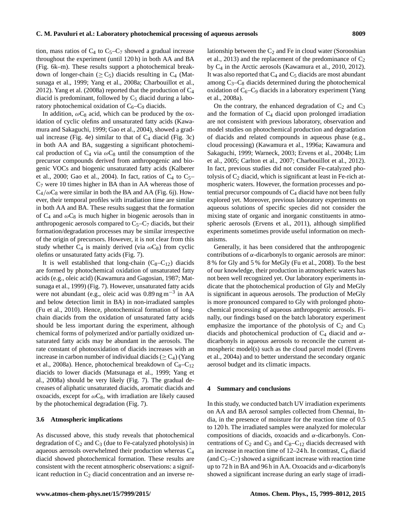tion, mass ratios of  $C_4$  to  $C_5-C_7$  showed a gradual increase throughout the experiment (until 120 h) in both AA and BA (Fig. 6k–m). These results support a photochemical breakdown of longer-chain ( $\geq C_5$ ) diacids resulting in C<sub>4</sub> (Matsunaga et al., 1999; Yang et al., 2008a; Charbouillot et al., 2012). Yang et al. (2008a) reported that the production of  $C_4$ diacid is predominant, followed by  $C_5$  diacid during a laboratory photochemical oxidation of  $C_6 - C_9$  diacids.

In addition,  $\omega C_8$  acid, which can be produced by the oxidation of cyclic olefins and unsaturated fatty acids (Kawamura and Sakaguchi, 1999; Gao et al., 2004), showed a gradual increase (Fig. 4e) similar to that of  $C_4$  diacid (Fig. 3c) in both AA and BA, suggesting a significant photochemical production of  $C_4$  via  $\omega C_8$  until the consumption of the precursor compounds derived from anthropogenic and biogenic VOCs and biogenic unsaturated fatty acids (Kalberer et al., 2000; Gao et al., 2004). In fact, ratios of  $C_4$  to  $C_5$ –  $C_7$  were 10 times higher in BA than in AA whereas those of  $C_4/\omega C_8$  were similar in both the BA and AA (Fig. 6j). However, their temporal profiles with irradiation time are similar in both AA and BA. These results suggest that the formation of  $C_4$  and  $\omega C_8$  is much higher in biogenic aerosols than in anthropogenic aerosols compared to  $C_5-C_7$  diacids, but their formation/degradation processes may be similar irrespective of the origin of precursors. However, it is not clear from this study whether  $C_4$  is mainly derived (via  $\omega C_8$ ) from cyclic olefins or unsaturated fatty acids (Fig. 7).

It is well established that long-chain  $(C_8-C_{12})$  diacids are formed by photochemical oxidation of unsaturated fatty acids (e.g., oleic acid) (Kawamura and Gagosian, 1987; Matsunaga et al., 1999) (Fig. 7). However, unsaturated fatty acids were not abundant (e.g., oleic acid was 0.89 ng m−<sup>3</sup> in AA and below detection limit in BA) in non-irradiated samples (Fu et al., 2010). Hence, photochemical formation of longchain diacids from the oxidation of unsaturated fatty acids should be less important during the experiment, although chemical forms of polymerized and/or partially oxidized unsaturated fatty acids may be abundant in the aerosols. The rate constant of photooxidation of diacids increases with an increase in carbon number of individual diacids ( $\geq C_4$ ) (Yang et al., 2008a). Hence, photochemical breakdown of  $C_8-C_{12}$ diacids to lower diacids (Matsunaga et al., 1999; Yang et al., 2008a) should be very likely (Fig. 7). The gradual decreases of aliphatic unsaturated diacids, aromatic diacids and oxoacids, except for  $\omega C_8$ , with irradiation are likely caused by the photochemical degradation (Fig. 7).

## **3.6 Atmospheric implications**

As discussed above, this study reveals that photochemical degradation of  $C_2$  and  $C_3$  (due to Fe-catalyzed photolysis) in aqueous aerosols overwhelmed their production whereas C<sup>4</sup> diacid showed photochemical formation. These results are consistent with the recent atmospheric observations: a significant reduction in  $C_2$  diacid concentration and an inverse relationship between the  $C_2$  and Fe in cloud water (Sorooshian et al., 2013) and the replacement of the predominance of  $C_2$ by C<sup>4</sup> in the Arctic aerosols (Kawamura et al., 2010, 2012). It was also reported that  $C_4$  and  $C_5$  diacids are most abundant among  $C_3-C_8$  diacids determined during the photochemical oxidation of  $C_6-C_9$  diacids in a laboratory experiment (Yang et al., 2008a).

On the contrary, the enhanced degradation of  $C_2$  and  $C_3$ and the formation of  $C_4$  diacid upon prolonged irradiation are not consistent with previous laboratory, observation and model studies on photochemical production and degradation of diacids and related compounds in aqueous phase (e.g., cloud processing) (Kawamura et al., 1996a; Kawamura and Sakaguchi, 1999; Warneck, 2003; Ervens et al., 2004b; Lim et al., 2005; Carlton et al., 2007; Charbouillot et al., 2012). In fact, previous studies did not consider Fe-catalyzed photolysis of  $C_2$  diacid, which is significant at least in Fe-rich atmospheric waters. However, the formation processes and potential precursor compounds of  $C_4$  diacid have not been fully explored yet. Moreover, previous laboratory experiments on aqueous solutions of specific species did not consider the mixing state of organic and inorganic constituents in atmospheric aerosols (Ervens et al., 2011), although simplified experiments sometimes provide useful information on mechanisms.

Generally, it has been considered that the anthropogenic contributions of  $\alpha$ -dicarbonyls to organic aerosols are minor: 8 % for Gly and 5 % for MeGly (Fu et al., 2008). To the best of our knowledge, their production in atmospheric waters has not been well recognized yet. Our laboratory experiments indicate that the photochemical production of Gly and MeGly is significant in aqueous aerosols. The production of MeGly is more pronounced compared to Gly with prolonged photochemical processing of aqueous anthropogenic aerosols. Finally, our findings based on the batch laboratory experiment emphasize the importance of the photolysis of  $C_2$  and  $C_3$ diacids and photochemical production of  $C_4$  diacid and  $\alpha$ dicarbonyls in aqueous aerosols to reconcile the current atmospheric model(s) such as the cloud parcel model (Ervens et al., 2004a) and to better understand the secondary organic aerosol budget and its climatic impacts.

#### **4 Summary and conclusions**

In this study, we conducted batch UV irradiation experiments on AA and BA aerosol samples collected from Chennai, India, in the presence of moisture for the reaction time of 0.5 to 120 h. The irradiated samples were analyzed for molecular compositions of diacids, oxoacids and  $\alpha$ -dicarbonyls. Concentrations of  $C_2$  and  $C_3$  and  $C_8 - C_{12}$  diacids decreased with an increase in reaction time of  $12-24$  h. In contrast,  $C_4$  diacid (and  $C_5-C_7$ ) showed a significant increase with reaction time up to 72 h in BA and 96 h in AA. Oxoacids and  $\alpha$ -dicarbonyls showed a significant increase during an early stage of irradi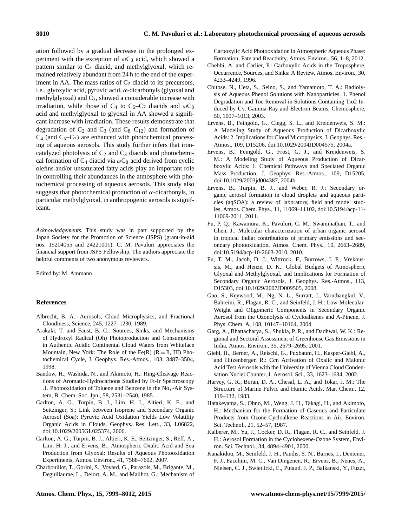ation followed by a gradual decrease in the prolonged experiment with the exception of  $\omega C_8$  acid, which showed a pattern similar to  $C_4$  diacid, and methylglyoxal, which remained relatively abundant from 24 h to the end of the experiment in AA. The mass ratios of  $C_2$  diacid to its precursors, i.e., glyoxylic acid, pyruvic acid,  $\alpha$ -dicarbonyls (glyoxal and methylglyoxal) and  $C_3$ , showed a considerable increase with irradiation, while those of C<sub>4</sub> to C<sub>5</sub>–C<sub>7</sub> diacids and  $\omega C_8$ acid and methylglyoxal to glyoxal in AA showed a significant increase with irradiation. These results demonstrate that degradation of  $C_2$  and  $C_3$  (and  $C_8-C_{12}$ ) and formation of  $C_4$  (and  $C_5-C_7$ ) are enhanced with photochemical processing of aqueous aerosols. This study further infers that ironcatalyzed photolysis of  $C_2$  and  $C_3$  diacids and photochemical formation of  $C_4$  diacid via  $\omega C_8$  acid derived from cyclic olefins and/or unsaturated fatty acids play an important role in controlling their abundances in the atmosphere with photochemical processing of aqueous aerosols. This study also suggests that photochemical production of  $\alpha$ -dicarbonyls, in particular methylglyoxal, in anthropogenic aerosols is significant.

*Acknowledgements.* This study was in part supported by the Japan Society for the Promotion of Science (JSPS) (grant-in-aid nos. 19204055 and 24221001). C. M. Pavuluri appreciates the financial support from JSPS Fellowship. The authors appreciate the helpful comments of two anonymous reviewers.

Edited by: M. Ammann

### **References**

- Albrecht, B. A.: Aerosols, Cloud Microphysics, and Fractional Cloudiness, Science, 245, 1227–1230, 1989.
- Arakaki, T. and Faust, B. C.: Sources, Sinks, and Mechanisms of Hydroxyl Radical (Oh) Photoproduction and Consumption in Authentic Acidic Continental Cloud Waters from Whiteface Mountain, New York: The Role of the Fe(R)  $(R = Ii, III)$  Photochemical Cycle, J. Geophys. Res.-Atmos., 103, 3487–3504, 1998.
- Bandow, H., Washida, N., and Akimoto, H.: Ring-Cleavage Reactions of Aromatic-Hydrocarbons Studied by Ft-Ir Spectroscopy .1. Photooxidation of Toluene and Benzene in the  $No<sub>x</sub>$ -Air System, B. Chem. Soc. Jpn., 58, 2531–2540, 1985.
- Carlton, A. G., Turpin, B. J., Lim, H. J., Altieri, K. E., and Seitzinger, S.: Link between Isoprene and Secondary Organic Aerosol (Soa): Pyruvic Acid Oxidation Yields Low Volatility Organic Acids in Clouds, Geophys. Res. Lett., 33, L06822, doi[:10.1029/2005GL025374,](http://dx.doi.org/10.1029/2005GL025374) 2006.
- Carlton, A. G., Turpin, B. J., Altieri, K. E., Seitzinger, S., Reff, A., Lim, H. J., and Ervens, B.: Atmospheric Oxalic Acid and Soa Production from Glyoxal: Results of Aqueous Photooxidation Experiments, Atmos. Environ., 41, 7588–7602, 2007.
- Charbouillot, T., Gorini, S., Voyard, G., Parazols, M., Brigante, M., Deguillaume, L., Delort, A. M., and Mailhot, G.: Mechanism of

Carboxylic Acid Photooxidation in Atmospheric Aqueous Phase: Formation, Fate and Reactivity, Atmos. Environ., 56, 1–8, 2012.

- Chebbi, A. and Carlier, P.: Carboxylic Acids in the Troposphere, Occurrence, Sources, and Sinks: A Review, Atmos. Environ., 30, 4233–4249, 1996.
- Chitose, N., Ueta, S., Seino, S., and Yamamoto, T. A.: Radiolysis of Aqueous Phenol Solutions with Nanoparticles. 1. Phenol Degradation and Toc Removal in Solutions Containing Tio2 Induced by Uv, Gamma-Ray and Electron Beams, Chemosphere, 50, 1007–1013, 2003.
- Ervens, B., Feingold, G., Clegg, S. L., and Kreidenweis, S. M.: A Modeling Study of Aqueous Production of Dicarboxylic Acids: 2. Implications for Cloud Microphysics, J. Geophys. Res.- Atmos., 109, D15206, doi[:10.1029/2004JD004575,](http://dx.doi.org/10.1029/2004JD004575) 2004a.
- Ervens, B., Feingold, G., Frost, G. J., and Kreidenweis, S. M.: A Modeling Study of Aqueous Production of Dicarboxylic Acids: 1. Chemical Pathways and Speciated Organic Mass Production, J. Geophys. Res.-Atmos., 109, D15205, doi[:10.1029/2003jd004387,](http://dx.doi.org/10.1029/2003jd004387) 2004b.
- Ervens, B., Turpin, B. J., and Weber, R. J.: Secondary organic aerosol formation in cloud droplets and aqueous particles (aqSOA): a review of laboratory, field and model studies, Atmos. Chem. Phys., 11, 11069–11102, doi[:10.5194/acp-11-](http://dx.doi.org/10.5194/acp-11-11069-2011) [11069-2011,](http://dx.doi.org/10.5194/acp-11-11069-2011) 2011.
- Fu, P. Q., Kawamura, K., Pavuluri, C. M., Swaminathan, T., and Chen, J.: Molecular characterization of urban organic aerosol in tropical India: contributions of primary emissions and secondary photooxidation, Atmos. Chem. Phys., 10, 2663–2689, doi[:10.5194/acp-10-2663-2010,](http://dx.doi.org/10.5194/acp-10-2663-2010) 2010.
- Fu, T. M., Jacob, D. J., Wittrock, F., Burrows, J. P., Vrekoussis, M., and Henze, D. K.: Global Budgets of Atmospheric Glyoxal and Methylglyoxal, and Implications for Formation of Secondary Organic Aerosols, J. Geophys. Res.-Atmos., 113, D15303, doi[:10.1029/2007JD009505,](http://dx.doi.org/10.1029/2007JD009505) 2008.
- Gao, S., Keywood, M., Ng, N. L., Surratt, J., Varutbangkul, V., Bahreini, R., Flagan, R. C., and Seinfeld, J. H.: Low-Molecular-Weight and Oligomeric Components in Secondary Organic Aerosol from the Ozonolysis of Cycloalkenes and A-Pinene, J. Phys. Chem. A, 108, 10147–10164, 2004.
- Garg, A., Bhattacharya, S., Shukla, P. R., and Dadhwal, W. K.: Regional and Sectoral Assessment of Greenhouse Gas Emissions in India, Atmos. Environ., 35, 2679–2695, 2001.
- Giebl, H., Berner, A., Reischl, G., Puxbaum, H., Kasper-Giebl, A., and Hitzenberger, R.: Ccn Activation of Oxalic and Malonic Acid Test Aerosols with the University of Vienna Cloud Condensation Nuclei Counter, J. Aerosol. Sci., 33, 1623–1634, 2002.
- Harvey, G. R., Boran, D. A., Chesal, L. A., and Tokar, J. M.: The Structure of Marine Fulvic and Humic Acids, Mar. Chem., 12, 119–132, 1983.
- Hatakeyama, S., Ohno, M., Weng, J. H., Takagi, H., and Akimoto, H.: Mechanism for the Formation of Gaseous and Particulate Products from Ozone-Cycloalkene Reactions in Air, Environ. Sci. Technol., 21, 52–57, 1987.
- Kalberer, M., Yu, J., Cocker, D. R., Flagan, R. C., and Seinfeld, J. H.: Aerosol Formation in the Cyclohexene-Ozone System, Environ. Sci. Technol., 34, 4894–4901, 2000.
- Kanakidou, M., Seinfeld, J. H., Pandis, S. N., Barnes, I., Dentener, F. J., Facchini, M. C., Van Dingenen, R., Ervens, B., Nenes, A., Nielsen, C. J., Swietlicki, E., Putaud, J. P., Balkanski, Y., Fuzzi,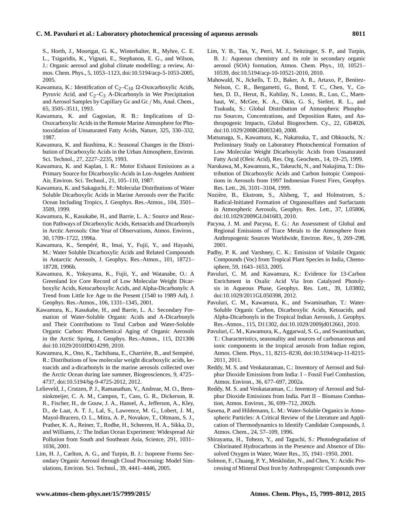## **C. M. Pavuluri et al.: Laboratory photochemical processing of aqueous aerosols 8011**

S., Horth, J., Moortgat, G. K., Winterhalter, R., Myhre, C. E. L., Tsigaridis, K., Vignati, E., Stephanou, E. G., and Wilson, J.: Organic aerosol and global climate modelling: a review, Atmos. Chem. Phys., 5, 1053–1123, doi[:10.5194/acp-5-1053-2005,](http://dx.doi.org/10.5194/acp-5-1053-2005) 2005.

- Kawamura, K.: Identification of  $C_2-C_{10}$   $\Omega$ -Oxocarboxylic Acids, Pyruvic Acid, and  $C_2-C_3$  A-Dicarbonyls in Wet Precipitation and Aerosol Samples by Capillary Gc and Gc / Ms, Anal. Chem., 65, 3505–3511, 1993.
- Kawamura, K. and Gagosian, R. B.: Implications of  $\Omega$ -Oxocarboxylic Acids in the Remote Marine Atmosphere for Photooxidation of Unsaturated Fatty Acids, Nature, 325, 330–332, 1987.
- Kawamura, K. and Ikushima, K.: Seasonal Changes in the Distribution of Dicarboxylic Acids in the Urban Atmosphere, Environ. Sci. Technol., 27, 2227–2235, 1993.
- Kawamura, K. and Kaplan, I. R.: Motor Exhaust Emissions as a Primary Source for Dicarboxylic-Acids in Los-Angeles Ambient Air, Environ. Sci. Technol., 21, 105–110, 1987.
- Kawamura, K. and Sakaguchi, F.: Molecular Distributions of Water Soluble Dicarboxylic Acids in Marine Aerosols over the Pacific Ocean Including Tropics, J. Geophys. Res.-Atmos., 104, 3501– 3509, 1999.
- Kawamura, K., Kasukabe, H., and Barrie, L. A.: Source and Reaction Pathways of Dicarboxylic Acids, Ketoacids and Dicarbonyls in Arctic Aerosols: One Year of Observations, Atmos. Environ., 30, 1709–1722, 1996a.
- Kawamura, K., Sempéré, R., Imai, Y., Fujii, Y., and Hayashi, M.: Water Soluble Dicarboxylic Acids and Related Compounds in Antarctic Aerosols, J. Geophys. Res.-Atmos., 101, 18721– 18728, 1996b.
- Kawamura, K., Yokoyama, K., Fujii, Y., and Watanabe, O.: A Greenland Ice Core Record of Low Molecular Weight Dicarboxylic Acids, Ketocarboxylic Acids, and Alpha-Dicarbonyls: A Trend from Little Ice Age to the Present (1540 to 1989 Ad), J. Geophys. Res.-Atmos., 106, 1331–1345, 2001.
- Kawamura, K., Kasukabe, H., and Barrie, L. A.: Secondary Formation of Water-Soluble Organic Acids and A-Dicarbonyls and Their Contributions to Total Carbon and Water-Soluble Organic Carbon: Photochemical Aging of Organic Aerosols in the Arctic Spring, J. Geophys. Res.-Atmos., 115, D21306 doi[:10.1029/2010JD014299,](http://dx.doi.org/10.1029/2010JD014299) 2010.
- Kawamura, K., Ono, K., Tachibana, E., Charriére, B., and Sempéré, R.: Distributions of low molecular weight dicarboxylic acids, ketoacids and a-dicarbonyls in the marine aerosols collected over the Arctic Ocean during late summer, Biogeosciences, 9, 4725– 4737, doi[:10.5194/bg-9-4725-2012,](http://dx.doi.org/10.5194/bg-9-4725-2012) 2012.
- Lelieveld, J., Crutzen, P. J., Ramanathan, V., Andreae, M. O., Brenninkmeijer, C. A. M., Campos, T., Cass, G. R., Dickerson, R. R., Fischer, H., de Gouw, J. A., Hansel, A., Jefferson, A., Kley, D., de Laat, A. T. J., Lal, S., Lawrence, M. G., Lobert, J. M., Mayol-Bracero, O. L., Mitra, A. P., Novakov, T., Oltmans, S. J., Prather, K. A., Reiner, T., Rodhe, H., Scheeren, H. A., Sikka, D., and Williams, J.: The Indian Ocean Experiment: Widespread Air Pollution from South and Southeast Asia, Science, 291, 1031– 1036, 2001.
- Lim, H. J., Carlton, A. G., and Turpin, B. J.: Isoprene Forms Secondary Organic Aerosol through Cloud Processing: Model Simulations, Environ. Sci. Technol., 39, 4441–4446, 2005.
- Lim, Y. B., Tan, Y., Perri, M. J., Seitzinger, S. P., and Turpin, B. J.: Aqueous chemistry and its role in secondary organic aerosol (SOA) formation, Atmos. Chem. Phys., 10, 10521– 10539, doi[:10.5194/acp-10-10521-2010,](http://dx.doi.org/10.5194/acp-10-10521-2010) 2010.
- Mahowald, N., Jickells, T. D., Baker, A. R., Artaxo, P., Benitez-Nelson, C. R., Bergametti, G., Bond, T. C., Chen, Y., Cohen, D. D., Herut, B., Kubilay, N., Losno, R., Luo, C., Maenhaut, W., McGee, K. A., Okin, G. S., Siefert, R. L., and Tsukuda, S.: Global Distribution of Atmospheric Phosphorus Sources, Concentrations, and Deposition Rates, and Anthropogenic Impacts, Global Biogeochem. Cy., 22, GB4026, doi[:10.1029/2008GB003240,](http://dx.doi.org/10.1029/2008GB003240) 2008.
- Matsunaga, S., Kawamura, K., Nakatsuka, T., and Ohkouchi, N.: Preliminary Study on Laboratory Photochemical Formation of Low Molecular Weight Dicarboxylic Acids from Unsaturated Fatty Acid (Oleic Acid), Res. Org. Geochem., 14, 19–25, 1999.
- Narukawa, M., Kawamura, K., Takeuchi, N., and Nakajima, T.: Distribution of Dicarboxylic Acids and Carbon Isotopic Compositions in Aerosols from 1997 Indonesian Forest Fires, Geophys. Res. Lett., 26, 3101–3104, 1999.
- Nozière, B., Ekstrom, S., Alsberg, T., and Holmstrom, S.: Radical-Initiated Formation of Organosulfates and Surfactants in Atmospheric Aerosols, Geophys. Res. Lett., 37, L05806, doi[:10.1029/2009GL041683,](http://dx.doi.org/10.1029/2009GL041683) 2010.
- Pacyna, J. M. and Pacyna, E. G.: An Assessment of Global and Regional Emissions of Trace Metals to the Atmosphere from Anthropogenic Sources Worldwide, Environ. Rev., 9, 269–298, 2001.
- Padhy, P. K. and Varshney, C. K.: Emission of Volatile Organic Compounds (Voc) from Tropical Plant Species in India, Chemosphere, 59, 1643–1653, 2005.
- Pavuluri, C. M. and Kawamura, K.: Evidence for 13-Carbon Enrichment in Oxalic Acid Via Iron Catalyzed Photolysis in Aqueous Phase, Geophys. Res. Lett., 39, L03802, doi[:10.1029/2011GL050398,](http://dx.doi.org/10.1029/2011GL050398) 2012.
- Pavuluri, C. M., Kawamura, K., and Swaminathan, T.: Water-Soluble Organic Carbon, Dicarboxylic Acids, Ketoacids, and Alpha-Dicarbonyls in the Tropical Indian Aerosols, J. Geophys. Res.-Atmos., 115, D11302, doi[:10.1029/2009jd012661,](http://dx.doi.org/10.1029/2009jd012661) 2010.
- Pavuluri, C. M., Kawamura, K., Aggarwal, S. G., and Swaminathan, T.: Characteristics, seasonality and sources of carbonaceous and ionic components in the tropical aerosols from Indian region, Atmos. Chem. Phys., 11, 8215–8230, doi[:10.5194/acp-11-8215-](http://dx.doi.org/10.5194/acp-11-8215-2011) [2011,](http://dx.doi.org/10.5194/acp-11-8215-2011) 2011.
- Reddy, M. S. and Venkataraman, C.: Inventory of Aerosol and Sulphur Dioxide Emissions from India: I – Fossil Fuel Combustion, Atmos. Environ., 36, 677–697, 2002a.
- Reddy, M. S. and Venkataraman, C.: Inventory of Aerosol and Sulphur Dioxide Emissions from India. Part II – Biomass Combustion, Atmos. Environ., 36, 699–712, 2002b.
- Saxena, P. and Hildemann, L. M.: Water-Soluble Organics in Atmospheric Particles: A Critical Review of the Literature and Application of Thermodynamics to Identify Candidate Compounds, J. Atmos. Chem., 24, 57–109, 1996.
- Shirayama, H., Tohezo, Y., and Taguchi, S.: Photodegradation of Chlorinated Hydrocarbons in the Presence and Absence of Dissolved Oxygen in Water, Water Res., 35, 1941–1950, 2001.
- Solmon, F., Chuang, P. Y., Meskhidze, N., and Chen, Y.: Acidic Processing of Mineral Dust Iron by Anthropogenic Compounds over